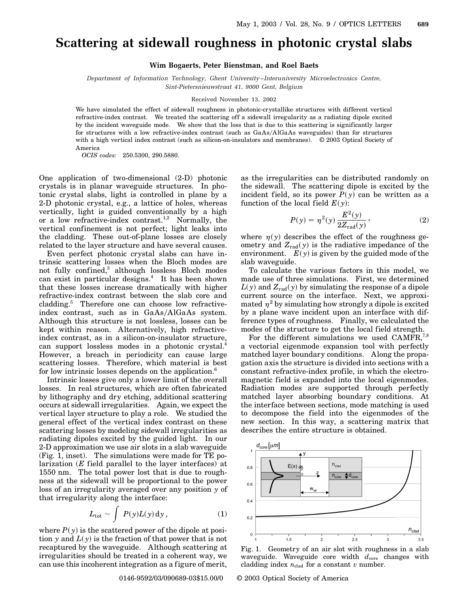## **Scattering at sidewall roughness in photonic crystal slabs**

**Wim Bogaerts, Peter Bienstman, and Roel Baets**

*Department of Information Technology, Ghent University –Interuniversity Microelectronics Centre, Sint-Pietersnieuwstraat 41, 9000 Gent, Belgium*

## Received November 13, 2002

We have simulated the effect of sidewall roughness in photonic-crystallike structures with different vertical refractive-index contrast. We treated the scattering off a sidewall irregularity as a radiating dipole excited by the incident waveguide mode. We show that the loss that is due to this scattering is significantly larger for structures with a low refractive-index contrast (such as GaAsAlGaAs waveguides) than for structures with a high vertical index contrast (such as silicon-on-insulators and membranes). © 2003 Optical Society of America

*OCIS codes:* 250.5300, 290.5880.

One application of two-dimensional (2-D) photonic crystals is in planar waveguide structures. In photonic crystal slabs, light is controlled in plane by a 2-D photonic crystal, e.g., a lattice of holes, whereas vertically, light is guided conventionally by a high or a low refractive-index contrast.<sup>1,2</sup> Normally, the vertical confinement is not perfect; light leaks into the cladding. These out-of-plane losses are closely related to the layer structure and have several causes.

Even perfect photonic crystal slabs can have intrinsic scattering losses when the Bloch modes are not fully confined,<sup>3</sup> although lossless Bloch modes can exist in particular designs.<sup>4</sup> It has been shown that these losses increase dramatically with higher refractive-index contrast between the slab core and cladding.<sup>5</sup> Therefore one can choose low refractiveindex contrast, such as in GaAs/AlGaAs system. Although this structure is not lossless, losses can be kept within reason. Alternatively, high refractiveindex contrast, as in a silicon-on-insulator structure, can support lossless modes in a photonic crystal.<sup>4</sup> However, a breach in periodicity can cause large scattering losses. Therefore, which material is best for low intrinsic losses depends on the application.<sup>6</sup>

Intrinsic losses give only a lower limit of the overall losses. In real structures, which are often fabricated by lithography and dry etching, additional scattering occurs at sidewall irregularities. Again, we expect the vertical layer structure to play a role. We studied the general effect of the vertical index contrast on these scattering losses by modeling sidewall irregularities as radiating dipoles excited by the guided light. In our 2-D approximation we use air slots in a slab waveguide (Fig. 1, inset). The simulations were made for TE polarization (*E* field parallel to the layer interfaces) at 1550 nm. The total power lost that is due to roughness at the sidewall will be proportional to the power loss of an irregularity averaged over any position *y* of that irregularity along the interface:

$$
L_{\text{tot}} \sim \int P(y)L(y) \, dy \,, \tag{1}
$$

where  $P(y)$  is the scattered power of the dipole at position *y* and  $L(y)$  is the fraction of that power that is not recaptured by the waveguide. Although scattering at irregularities should be treated in a coherent way, we can use this incoherent integration as a figure of merit,

as the irregularities can be distributed randomly on the sidewall. The scattering dipole is excited by the incident field, so its power  $P(y)$  can be written as a function of the local field  $E(y)$ :

$$
P(y) = \eta^{2}(y) \frac{E^{2}(y)}{2Z_{\text{rad}}(y)},
$$
\n(2)

where  $\eta(y)$  describes the effect of the roughness geometry and  $Z_{rad}(y)$  is the radiative impedance of the environment.  $E(y)$  is given by the guided mode of the slab waveguide.

To calculate the various factors in this model, we made use of three simulations. First, we determined  $L(y)$  and  $Z_{rad}(y)$  by simulating the response of a dipole current source on the interface. Next, we approximated  $\eta^2$  by simulating how strongly a dipole is excited by a plane wave incident upon an interface with difference types of roughness. Finally, we calculated the modes of the structure to get the local field strength.

For the different simulations we used CAMFR,<sup>7,8</sup> a vectorial eigenmode expansion tool with perfectly matched layer boundary conditions. Along the propagation axis the structure is divided into sections with a constant refractive-index profile, in which the electromagnetic field is expanded into the local eigenmodes. Radiation modes are supported through perfectly matched layer absorbing boundary conditions. At the interface between sections, mode matching is used to decompose the field into the eigenmodes of the new section. In this way, a scattering matrix that describes the entire structure is obtained.



Fig. 1. Geometry of an air slot with roughness in a slab waveguide. Waveguide core width  $d_{\text{core}}$  changes with cladding index  $n_{\text{clad}}$  for a constant  $v$  number.

0146-9592/03/090689-03\$15.00/0 © 2003 Optical Society of America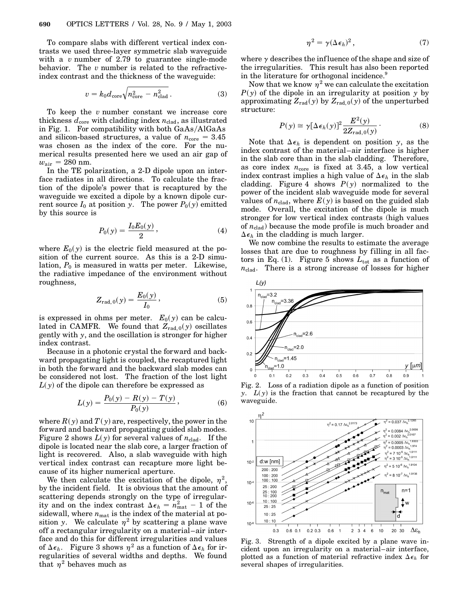To compare slabs with different vertical index contrasts we used three-layer symmetric slab waveguide with a *v* number of 2.79 to guarantee single-mode behavior. The *v* number is related to the refractiveindex contrast and the thickness of the waveguide:

$$
v = k_0 d_{\text{core}} \sqrt{n_{\text{core}}^2 - n_{\text{clad}}^2} \,. \tag{3}
$$

To keep the *v* number constant we increase core thickness  $d_{\text{core}}$  with cladding index  $n_{\text{clad}}$ , as illustrated in Fig. 1. For compatibility with both  $GaAs/AlGaAs$ and silicon-based structures, a value of  $n_{\text{core}} = 3.45$ was chosen as the index of the core. For the numerical results presented here we used an air gap of  $w_{\text{air}} = 280 \text{ nm}.$ 

In the TE polarization, a 2-D dipole upon an interface radiates in all directions. To calculate the fraction of the dipole's power that is recaptured by the waveguide we excited a dipole by a known dipole current source  $I_0$  at position *y*. The power  $P_0(y)$  emitted by this source is

$$
P_0(y) = \frac{I_0 E_0(y)}{2},\tag{4}
$$

where  $E_0(y)$  is the electric field measured at the position of the current source. As this is a 2-D simulation,  $P_0$  is measured in watts per meter. Likewise, the radiative impedance of the environment without roughness,

$$
Z_{\text{rad, 0}}(y) = \frac{E_0(y)}{I_0},
$$
 (5)

is expressed in ohms per meter.  $E_0(y)$  can be calculated in CAMFR. We found that  $Z_{rad,0}(y)$  oscillates gently with *y*, and the oscillation is stronger for higher index contrast.

Because in a photonic crystal the forward and backward propagating light is coupled, the recaptured light in both the forward and the backward slab modes can be considered not lost. The fraction of the lost light  $L(y)$  of the dipole can therefore be expressed as

$$
L(y) = \frac{P_0(y) - R(y) - T(y)}{P_0(y)},
$$
\n(6)

where  $R(y)$  and  $T(y)$  are, respectively, the power in the forward and backward propagating guided slab modes. Figure 2 shows  $L(y)$  for several values of  $n_{\text{clad}}$ . If the dipole is located near the slab core, a larger fraction of light is recovered. Also, a slab waveguide with high vertical index contrast can recapture more light because of its higher numerical aperture.

We then calculate the excitation of the dipole,  $\eta^2$ , by the incident field. It is obvious that the amount of scattering depends strongly on the type of irregularity and on the index contrast  $\Delta \epsilon_h = n_{\text{mat}}^2 - 1$  of the sidewall, where  $n_{\text{mat}}$  is the index of the material at position *y*. We calculate  $\eta^2$  by scattering a plane wave off a rectangular irregularity on a material–air interface and do this for different irregularities and values of  $\Delta \epsilon_h$ . Figure 3 shows  $\eta^2$  as a function of  $\Delta \epsilon_h$  for irregularities of several widths and depths. We found that  $\eta^2$  behaves much as

$$
\eta^2 = \gamma (\Delta \epsilon_h)^2, \qquad (7)
$$

where  $\gamma$  describes the influence of the shape and size of the irregularities. This result has also been reported in the literature for orthogonal incidence.<sup>9</sup>

Now that we know  $\eta^2$  we can calculate the excitation  $P(y)$  of the dipole in an irregularity at position  $y$  by approximating  $Z_{\text{rad}}(y)$  by  $Z_{\text{rad},0}(y)$  of the unperturbed structure:

$$
P(y) \cong \gamma [\Delta \epsilon_h(y)]^2 \frac{E^2(y)}{2Z_{\text{rad},0}(y)}.
$$
 (8)

Note that  $\Delta \epsilon_h$  is dependent on position *y*, as the index contrast of the material–air interface is higher in the slab core than in the slab cladding. Therefore, as core index  $n_{\text{core}}$  is fixed at 3.45, a low vertical index contrast implies a high value of  $\Delta \epsilon_h$  in the slab cladding. Figure 4 shows  $P(y)$  normalized to the power of the incident slab waveguide mode for several values of  $n_{\text{clad}}$ , where  $E(y)$  is based on the guided slab mode. Overall, the excitation of the dipole is much stronger for low vertical index contrasts (high values of  $n_{\text{clad}}$ ) because the mode profile is much broader and  $\Delta \epsilon_h$  in the cladding is much larger.

We now combine the results to estimate the average losses that are due to roughness by filling in all factors in Eq. (1). Figure 5 shows  $L_{\text{tot}}$  as a function of  $n_{\text{clad}}$ . There is a strong increase of losses for higher



Fig. 2. Loss of a radiation dipole as a function of position *y*. *Ly* is the fraction that cannot be recaptured by the waveguide.



Fig. 3. Strength of a dipole excited by a plane wave incident upon an irregularity on a material–air interface, plotted as a function of material refractive index  $\Delta \epsilon_h$  for several shapes of irregularities.